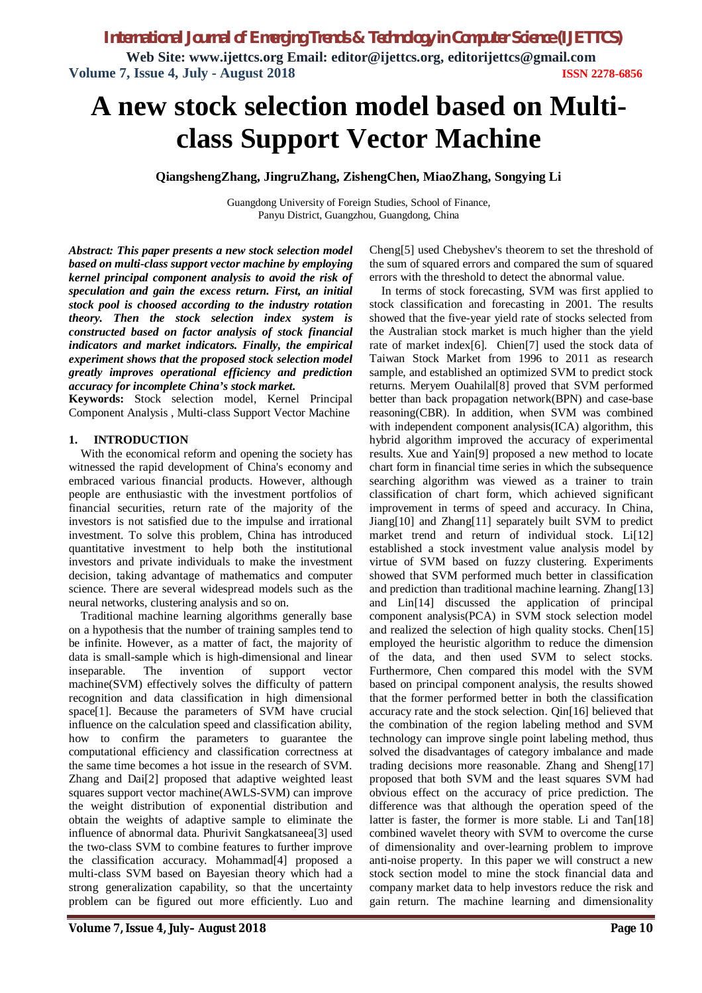**Web Site: www.ijettcs.org Email: editor@ijettcs.org, [editorijettcs@gmail.com](mailto:editorijettcs@gmail.com)  Volume 7, Issue 4, July - August 2018 ISSN 2278-6856**

# **A new stock selection model based on Multiclass Support Vector Machine**

**QiangshengZhang, JingruZhang, ZishengChen, MiaoZhang, Songying Li**

Guangdong University of Foreign Studies, School of Finance, Panyu District, Guangzhou, Guangdong, China

*Abstract: This paper presents a new stock selection model based on multi-class support vector machine by employing kernel principal component analysis to avoid the risk of speculation and gain the excess return. First, an initial stock pool is choosed according to the industry rotation theory. Then the stock selection index system is constructed based on factor analysis of stock financial indicators and market indicators. Finally, the empirical experiment shows that the proposed stock selection model greatly improves operational efficiency and prediction accuracy for incomplete China's stock market.*

**Keywords:** Stock selection model, Kernel Principal Component Analysis , Multi-class Support Vector Machine

#### **1. INTRODUCTION**

With the economical reform and opening the society has witnessed the rapid development of China's economy and embraced various financial products. However, although people are enthusiastic with the investment portfolios of financial securities, return rate of the majority of the investors is not satisfied due to the impulse and irrational investment. To solve this problem, China has introduced quantitative investment to help both the institutional investors and private individuals to make the investment decision, taking advantage of mathematics and computer science. There are several widespread models such as the neural networks, clustering analysis and so on.

Traditional machine learning algorithms generally base on a hypothesis that the number of training samples tend to be infinite. However, as a matter of fact, the majority of data is small-sample which is high-dimensional and linear inseparable. The invention of support vector machine(SVM) effectively solves the difficulty of pattern recognition and data classification in high dimensional space[1]. Because the parameters of SVM have crucial influence on the calculation speed and classification ability, how to confirm the parameters to guarantee the computational efficiency and classification correctness at the same time becomes a hot issue in the research of SVM. Zhang and Dai[2] proposed that adaptive weighted least squares support vector machine(AWLS-SVM) can improve the weight distribution of exponential distribution and obtain the weights of adaptive sample to eliminate the influence of abnormal data. Phurivit Sangkatsaneea[3] used the two-class SVM to combine features to further improve the classification accuracy. Mohammad[4] proposed a multi-class SVM based on Bayesian theory which had a strong generalization capability, so that the uncertainty problem can be figured out more efficiently. Luo and

Cheng[5] used Chebyshev's theorem to set the threshold of the sum of squared errors and compared the sum of squared errors with the threshold to detect the abnormal value.

In terms of stock forecasting, SVM was first applied to stock classification and forecasting in 2001. The results showed that the five-year yield rate of stocks selected from the Australian stock market is much higher than the yield rate of market index[6]. Chien[7] used the stock data of Taiwan Stock Market from 1996 to 2011 as research sample, and established an optimized SVM to predict stock returns. Meryem Ouahilal[8] proved that SVM performed better than back propagation network(BPN) and case-base reasoning(CBR). In addition, when SVM was combined with independent component analysis(ICA) algorithm, this hybrid algorithm improved the accuracy of experimental results. Xue and Yain[9] proposed a new method to locate chart form in financial time series in which the subsequence searching algorithm was viewed as a trainer to train classification of chart form, which achieved significant improvement in terms of speed and accuracy. In China, Jiang[10] and Zhang[11] separately built SVM to predict market trend and return of individual stock. Li[12] established a stock investment value analysis model by virtue of SVM based on fuzzy clustering. Experiments showed that SVM performed much better in classification and prediction than traditional machine learning. Zhang[13] and Lin[14] discussed the application of principal component analysis(PCA) in SVM stock selection model and realized the selection of high quality stocks. Chen[15] employed the heuristic algorithm to reduce the dimension of the data, and then used SVM to select stocks. Furthermore, Chen compared this model with the SVM based on principal component analysis, the results showed that the former performed better in both the classification accuracy rate and the stock selection. Qin[16] believed that the combination of the region labeling method and SVM technology can improve single point labeling method, thus solved the disadvantages of category imbalance and made trading decisions more reasonable. Zhang and Sheng[17] proposed that both SVM and the least squares SVM had obvious effect on the accuracy of price prediction. The difference was that although the operation speed of the latter is faster, the former is more stable. Li and Tan[18] combined wavelet theory with SVM to overcome the curse of dimensionality and over-learning problem to improve anti-noise property. In this paper we will construct a new stock section model to mine the stock financial data and company market data to help investors reduce the risk and gain return. The machine learning and dimensionality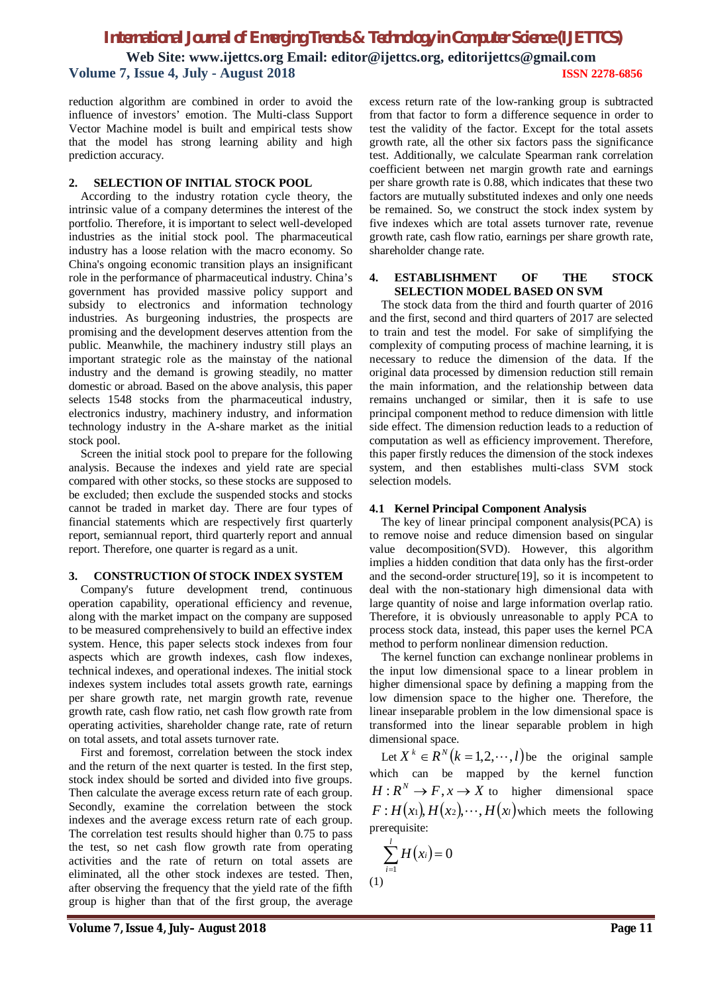## *International Journal of Emerging Trends & Technology in Computer Science (IJETTCS)* **Web Site: www.ijettcs.org Email: editor@ijettcs.org, [editorijettcs@gmail.com](mailto:editorijettcs@gmail.com)  Volume 7, Issue 4, July - August 2018 ISSN 2278-6856**

reduction algorithm are combined in order to avoid the influence of investors' emotion. The Multi-class Support Vector Machine model is built and empirical tests show that the model has strong learning ability and high prediction accuracy.

#### **2. SELECTION OF INITIAL STOCK POOL**

According to the industry rotation cycle theory, the intrinsic value of a company determines the interest of the portfolio. Therefore, it is important to select well-developed industries as the initial stock pool. The pharmaceutical industry has a loose relation with the macro economy. So China's ongoing economic transition plays an insignificant role in the performance of pharmaceutical industry. China's government has provided massive policy support and subsidy to electronics and information technology industries. As burgeoning industries, the prospects are promising and the development deserves attention from the public. Meanwhile, the machinery industry still plays an important strategic role as the mainstay of the national industry and the demand is growing steadily, no matter domestic or abroad. Based on the above analysis, this paper selects 1548 stocks from the pharmaceutical industry, electronics industry, machinery industry, and information technology industry in the A-share market as the initial stock pool.

Screen the initial stock pool to prepare for the following analysis. Because the indexes and yield rate are special compared with other stocks, so these stocks are supposed to be excluded; then exclude the suspended stocks and stocks cannot be traded in market day. There are four types of financial statements which are respectively first quarterly report, semiannual report, third quarterly report and annual report. Therefore, one quarter is regard as a unit.

#### **3. CONSTRUCTION Of STOCK INDEX SYSTEM**

Company's future development trend, continuous operation capability, operational efficiency and revenue, along with the market impact on the company are supposed to be measured comprehensively to build an effective index system. Hence, this paper selects stock indexes from four aspects which are growth indexes, cash flow indexes, technical indexes, and operational indexes. The initial stock indexes system includes total assets growth rate, earnings per share growth rate, net margin growth rate, revenue growth rate, cash flow ratio, net cash flow growth rate from operating activities, shareholder change rate, rate of return on total assets, and total assets turnover rate.

First and foremost, correlation between the stock index and the return of the next quarter is tested. In the first step, stock index should be sorted and divided into five groups. Then calculate the average excess return rate of each group. Secondly, examine the correlation between the stock indexes and the average excess return rate of each group. The correlation test results should higher than 0.75 to pass the test, so net cash flow growth rate from operating activities and the rate of return on total assets are eliminated, all the other stock indexes are tested. Then, after observing the frequency that the yield rate of the fifth group is higher than that of the first group, the average

excess return rate of the low-ranking group is subtracted from that factor to form a difference sequence in order to test the validity of the factor. Except for the total assets growth rate, all the other six factors pass the significance test. Additionally, we calculate Spearman rank correlation coefficient between net margin growth rate and earnings per share growth rate is 0.88, which indicates that these two factors are mutually substituted indexes and only one needs be remained. So, we construct the stock index system by five indexes which are total assets turnover rate, revenue growth rate, cash flow ratio, earnings per share growth rate, shareholder change rate.

#### **4. ESTABLISHMENT OF THE STOCK SELECTION MODEL BASED ON SVM**

The stock data from the third and fourth quarter of 2016 and the first, second and third quarters of 2017 are selected to train and test the model. For sake of simplifying the complexity of computing process of machine learning, it is necessary to reduce the dimension of the data. If the original data processed by dimension reduction still remain the main information, and the relationship between data remains unchanged or similar, then it is safe to use principal component method to reduce dimension with little side effect. The dimension reduction leads to a reduction of computation as well as efficiency improvement. Therefore, this paper firstly reduces the dimension of the stock indexes system, and then establishes multi-class SVM stock selection models.

#### **4.1 Kernel Principal Component Analysis**

The key of linear principal component analysis(PCA) is to remove noise and reduce dimension based on singular value decomposition(SVD). However, this algorithm implies a hidden condition that data only has the first-order and the second-order structure[19], so it is incompetent to deal with the non-stationary high dimensional data with large quantity of noise and large information overlap ratio. Therefore, it is obviously unreasonable to apply PCA to process stock data, instead, this paper uses the kernel PCA method to perform nonlinear dimension reduction.

The kernel function can exchange nonlinear problems in the input low dimensional space to a linear problem in higher dimensional space by defining a mapping from the low dimension space to the higher one. Therefore, the linear inseparable problem in the low dimensional space is transformed into the linear separable problem in high dimensional space.

Let  $X^k \in \mathbb{R}^N (k = 1, 2, \dots, l)$  be the original sample which can be mapped by the kernel function  $H: \mathbb{R}^N \to F, x \to X$  to higher dimensional space  $F: H(x_1), H(x_2), \dots, H(x_l)$  which meets the following prerequisite:

$$
\sum_{i=1}^{l} H(x_i) = 0
$$
  
(1)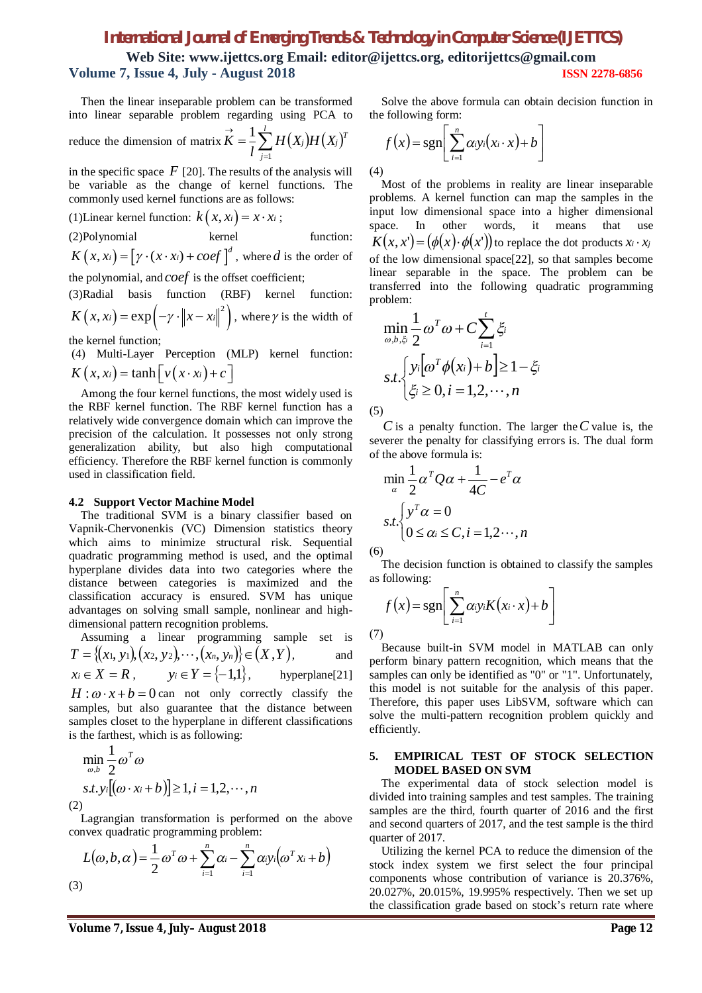**Web Site: www.ijettcs.org Email: editor@ijettcs.org, [editorijettcs@gmail.com](mailto:editorijettcs@gmail.com)  Volume 7, Issue 4, July - August 2018 ISSN 2278-6856**

Then the linear inseparable problem can be transformed into linear separable problem regarding using PCA to reduce the dimension of matrix  $K = \frac{1}{l} \sum_{j=1}^{l} H(X_j)H(X_j)$  $\vec{K} =$ *l j*  $H(X_j)H(X_j)^T$ *l K* 1 1

in the specific space  $F$  [20]. The results of the analysis will be variable as the change of kernel functions. The commonly used kernel functions are as follows:

(1) Linear kernel function:  $k(x, x_i) = x \cdot x_i$ ; (2)Polynomial kernel function:

 $K(x, x_i) = [\gamma \cdot (x \cdot x_i) + coef]^{d}$ , where *d* is the order of

the polynomial, and *coef* is the offset coefficient;

(3)Radial basis function (RBF) kernel function:  $K(x, x_i) = \exp(-\gamma \cdot ||x - x_i||^2)$ , where  $\gamma$  is the width of

the kernel function;

(4) Multi-Layer Perception (MLP) kernel function:  $K(x, x_i) = \tanh |v(x \cdot x_i) + c|$ 

Among the four kernel functions, the most widely used is the RBF kernel function. The RBF kernel function has a relatively wide convergence domain which can improve the precision of the calculation. It possesses not only strong generalization ability, but also high computational efficiency. Therefore the RBF kernel function is commonly used in classification field.

#### **4.2 Support Vector Machine Model**

The traditional SVM is a binary classifier based on Vapnik-Chervonenkis (VC) Dimension statistics theory which aims to minimize structural risk. Sequential quadratic programming method is used, and the optimal hyperplane divides data into two categories where the distance between categories is maximized and the classification accuracy is ensured. SVM has unique advantages on solving small sample, nonlinear and highdimensional pattern recognition problems.

Assuming a linear programming sample set is 
$$
T = \{(x_1, y_1), (x_2, y_2), \dots, (x_n, y_n)\}\in (X, Y)
$$
, and  $x_i \in X = R$ ,  $y_i \in Y = \{-1,1\}$ , hyperplane[21]  
 $H : \omega \cdot x + b = 0$  can not only correctly classify the samples, but also guarantee that the distance between samples close to the hyperplane in different classifications is the farthest, which is as following:

$$
\min_{\omega, b} \frac{1}{2} \omega^T \omega
$$
  
s.t.  $y_i[(\omega \cdot x_i + b)] \ge 1, i = 1, 2, \dots, n$   
(2)

Lagrangian transformation is performed on the above convex quadratic programming problem:

$$
L(\omega, b, \alpha) = \frac{1}{2} \omega^T \omega + \sum_{i=1}^n \alpha_i - \sum_{i=1}^n \alpha_i y_i (\omega^T x_i + b)
$$
  
(3)

Solve the above formula can obtain decision function in the following form:

$$
f(x) = \operatorname{sgn}\left[\sum_{i=1}^{n} \alpha_i y_i(x_i \cdot x) + b\right]
$$
\n(4)

Most of the problems in reality are linear inseparable problems. A kernel function can map the samples in the input low dimensional space into a higher dimensional space. In other words, it means that use  $K(x, x') = (\phi(x) \cdot \phi(x'))$  to replace the dot products  $x_i \cdot x_j$ of the low dimensional space[22], so that samples become linear separable in the space. The problem can be transferred into the following quadratic programming problem:

$$
\min_{\omega, b, \xi_i} \frac{1}{2} \omega^T \omega + C \sum_{i=1}^t \xi_i
$$
  
s.t. 
$$
\begin{cases} y_i \big[ \omega^T \phi(x_i) + b \big] \ge 1 - \xi_i \\ \xi_i \ge 0, i = 1, 2, \cdots, n \end{cases}
$$

*C* is a penalty function. The larger the*C* value is, the severer the penalty for classifying errors is. The dual form of the above formula is:

$$
\min_{\alpha} \frac{1}{2} \alpha^T Q \alpha + \frac{1}{4C} - e^T \alpha
$$
  
s.t. 
$$
\begin{cases} y^T \alpha = 0 \\ 0 \le \alpha_i \le C, i = 1, 2 \cdots, n \end{cases}
$$

 $(6)$ 

(7)

The decision function is obtained to classify the samples as following:

$$
f(x) = \mathrm{sgn}\left[\sum_{i=1}^{n} \alpha_i y_i K(x_i \cdot x) + b\right]
$$

Because built-in SVM model in MATLAB can only perform binary pattern recognition, which means that the samples can only be identified as "0" or "1". Unfortunately, this model is not suitable for the analysis of this paper. Therefore, this paper uses LibSVM, software which can solve the multi-pattern recognition problem quickly and efficiently.

#### **5. EMPIRICAL TEST OF STOCK SELECTION MODEL BASED ON SVM**

The experimental data of stock selection model is divided into training samples and test samples. The training samples are the third, fourth quarter of 2016 and the first and second quarters of 2017, and the test sample is the third quarter of 2017.

Utilizing the kernel PCA to reduce the dimension of the stock index system we first select the four principal components whose contribution of variance is 20.376%, 20.027%, 20.015%, 19.995% respectively. Then we set up the classification grade based on stock's return rate where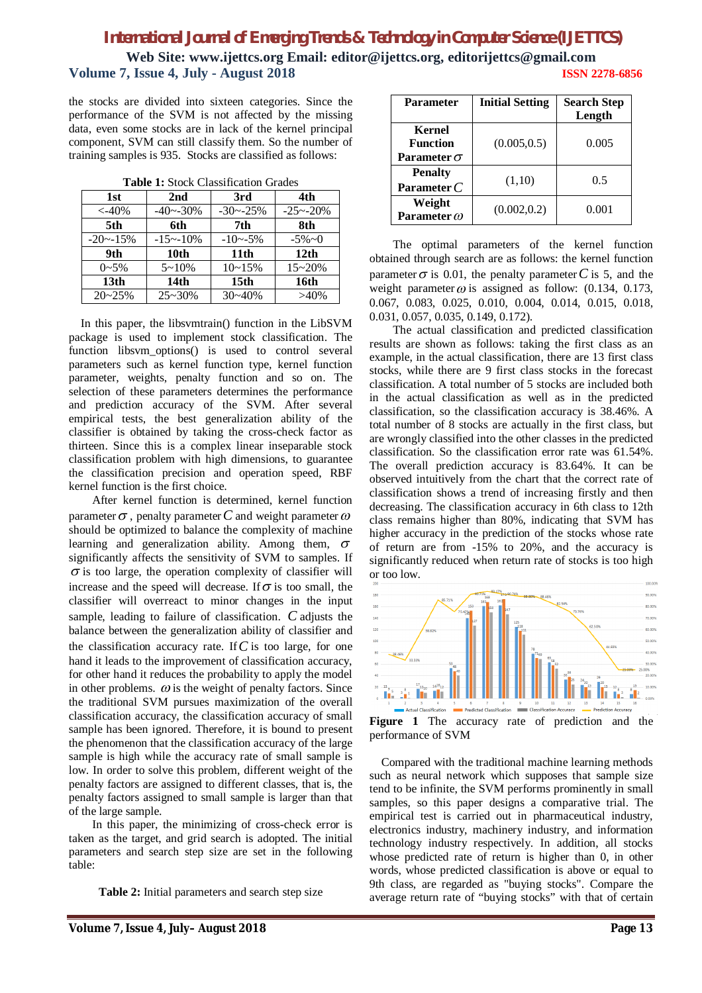**Web Site: www.ijettcs.org Email: editor@ijettcs.org, [editorijettcs@gmail.com](mailto:editorijettcs@gmail.com)  Volume 7, Issue 4, July - August 2018 ISSN 2278-6856**

the stocks are divided into sixteen categories. Since the performance of the SVM is not affected by the missing data, even some stocks are in lack of the kernel principal component, SVM can still classify them. So the number of training samples is 935. Stocks are classified as follows:

|  |  |  | <b>Table 1:</b> Stock Classification Grades |  |
|--|--|--|---------------------------------------------|--|
|--|--|--|---------------------------------------------|--|

| 1st              | 2nd              | 3rd              | 4th              |
|------------------|------------------|------------------|------------------|
| $< -40\%$        | $-40 - -30%$     | $-30 - -25%$     | $-25 - 20%$      |
| 5th              | 6th              | 7th              | 8th              |
| $-20 - 15\%$     | $-15 - 10%$      | $-10 - -5\%$     | $-5\%$ $\sim$ 0  |
| 9th              | 10th             | 11 <sub>th</sub> | 12 <sub>th</sub> |
| $0 - 5\%$        | $5 - 10%$        | $10 - 15%$       | $15 - 20%$       |
| 13 <sub>th</sub> | 14 <sub>th</sub> | 15 <sub>th</sub> | 16th             |
| $20 - 25%$       | $25 - 30%$       | $30 - 40%$       | $>40\%$          |

In this paper, the libsvmtrain() function in the LibSVM package is used to implement stock classification. The function libsvm\_options() is used to control several parameters such as kernel function type, kernel function parameter, weights, penalty function and so on. The selection of these parameters determines the performance and prediction accuracy of the SVM. After several empirical tests, the best generalization ability of the classifier is obtained by taking the cross-check factor as thirteen. Since this is a complex linear inseparable stock classification problem with high dimensions, to guarantee the classification precision and operation speed, RBF kernel function is the first choice.

After kernel function is determined, kernel function parameter  $\sigma$ , penalty parameter C and weight parameter  $\omega$ should be optimized to balance the complexity of machine learning and generalization ability. Among them,  $\sigma$ significantly affects the sensitivity of SVM to samples. If  $\sigma$  is too large, the operation complexity of classifier will increase and the speed will decrease. If  $\sigma$  is too small, the classifier will overreact to minor changes in the input sample, leading to failure of classification. *C* adjusts the balance between the generalization ability of classifier and the classification accuracy rate. If  $C$  is too large, for one hand it leads to the improvement of classification accuracy, for other hand it reduces the probability to apply the model in other problems.  $\omega$  is the weight of penalty factors. Since the traditional SVM pursues maximization of the overall classification accuracy, the classification accuracy of small sample has been ignored. Therefore, it is bound to present the phenomenon that the classification accuracy of the large sample is high while the accuracy rate of small sample is low. In order to solve this problem, different weight of the penalty factors are assigned to different classes, that is, the penalty factors assigned to small sample is larger than that of the large sample.

In this paper, the minimizing of cross-check error is taken as the target, and grid search is adopted. The initial parameters and search step size are set in the following table:

**Table 2:** Initial parameters and search step size

| Parameter                                       | <b>Initial Setting</b> | <b>Search Step</b><br>Length |
|-------------------------------------------------|------------------------|------------------------------|
| Kernel<br><b>Function</b><br>Parameter $\sigma$ | (0.005, 0.5)           | 0.005                        |
| <b>Penalty</b><br>Parameter $C$                 | (1,10)                 | 0.5                          |
| Weight<br>Parameter $\omega$                    | (0.002, 0.2)           | 0.001                        |

The optimal parameters of the kernel function obtained through search are as follows: the kernel function parameter  $\sigma$  is 0.01, the penalty parameter C is 5, and the weight parameter  $\omega$  is assigned as follow: (0.134, 0.173, 0.067, 0.083, 0.025, 0.010, 0.004, 0.014, 0.015, 0.018, 0.031, 0.057, 0.035, 0.149, 0.172).

The actual classification and predicted classification results are shown as follows: taking the first class as an example, in the actual classification, there are 13 first class stocks, while there are 9 first class stocks in the forecast classification. A total number of 5 stocks are included both in the actual classification as well as in the predicted classification, so the classification accuracy is 38.46%. A total number of 8 stocks are actually in the first class, but are wrongly classified into the other classes in the predicted classification. So the classification error rate was 61.54%. The overall prediction accuracy is 83.64%. It can be observed intuitively from the chart that the correct rate of classification shows a trend of increasing firstly and then decreasing. The classification accuracy in 6th class to 12th class remains higher than 80%, indicating that SVM has higher accuracy in the prediction of the stocks whose rate of return are from -15% to 20%, and the accuracy is significantly reduced when return rate of stocks is too high or too low.



**Figure 1** The accuracy rate of prediction and the performance of SVM

Compared with the traditional machine learning methods such as neural network which supposes that sample size tend to be infinite, the SVM performs prominently in small samples, so this paper designs a comparative trial. The empirical test is carried out in pharmaceutical industry, electronics industry, machinery industry, and information technology industry respectively. In addition, all stocks whose predicted rate of return is higher than 0, in other words, whose predicted classification is above or equal to 9th class, are regarded as "buying stocks". Compare the average return rate of "buying stocks" with that of certain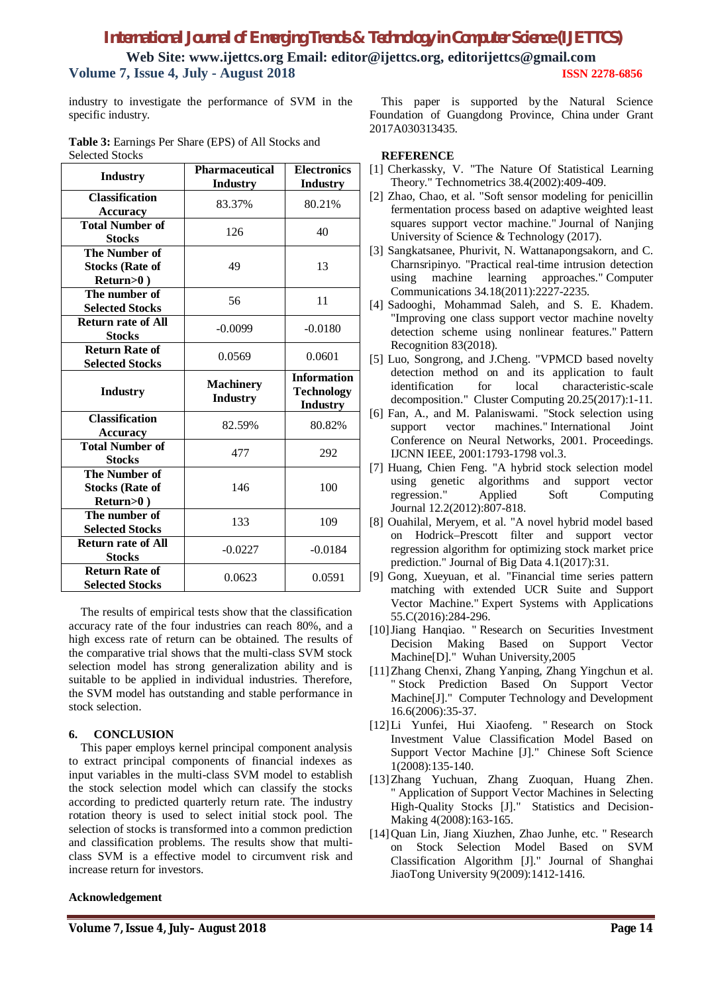**Web Site: www.ijettcs.org Email: editor@ijettcs.org, [editorijettcs@gmail.com](mailto:editorijettcs@gmail.com)  Volume 7, Issue 4, July - August 2018 ISSN 2278-6856**

industry to investigate the performance of SVM in the specific industry.

|                        | <b>Table 3:</b> Earnings Per Share (EPS) of All Stocks and |  |
|------------------------|------------------------------------------------------------|--|
| <b>Selected Stocks</b> |                                                            |  |

| <b>Industry</b>                                             | Pharmaceutical<br><b>Industry</b>   | <b>Electronics</b><br><b>Industry</b>                      |
|-------------------------------------------------------------|-------------------------------------|------------------------------------------------------------|
| <b>Classification</b><br><b>Accuracy</b>                    | 83.37%                              | 80.21%                                                     |
| <b>Total Number of</b><br><b>Stocks</b>                     | 126                                 | 40                                                         |
| <b>The Number of</b><br><b>Stocks (Rate of</b><br>Return>0) | 49                                  | 13                                                         |
| The number of<br><b>Selected Stocks</b>                     | 56                                  | 11                                                         |
| <b>Return rate of All</b><br><b>Stocks</b>                  | $-0.0099$                           | $-0.0180$                                                  |
| <b>Return Rate of</b><br><b>Selected Stocks</b>             | 0.0569                              | 0.0601                                                     |
| <b>Industry</b>                                             | <b>Machinery</b><br><b>Industry</b> | <b>Information</b><br><b>Technology</b><br><b>Industry</b> |
| <b>Classification</b><br><b>Accuracy</b>                    | 82.59%                              | 80.82%                                                     |
| <b>Total Number of</b><br><b>Stocks</b>                     | 477                                 | 292                                                        |
| <b>The Number of</b><br><b>Stocks (Rate of</b><br>Return>0) | 146                                 | 100                                                        |
| The number of<br><b>Selected Stocks</b>                     | 133                                 | 109                                                        |
| <b>Return rate of All</b><br><b>Stocks</b>                  | $-0.0227$                           | $-0.0184$                                                  |
| <b>Return Rate of</b><br><b>Selected Stocks</b>             | 0.0623                              | 0.0591                                                     |

The results of empirical tests show that the classification accuracy rate of the four industries can reach 80%, and a high excess rate of return can be obtained. The results of the comparative trial shows that the multi-class SVM stock selection model has strong generalization ability and is suitable to be applied in individual industries. Therefore, the SVM model has outstanding and stable performance in stock selection.

#### **6. CONCLUSION**

This paper employs kernel principal component analysis to extract principal components of financial indexes as input variables in the multi-class SVM model to establish the stock selection model which can classify the stocks according to predicted quarterly return rate. The industry rotation theory is used to select initial stock pool. The selection of stocks is transformed into a common prediction and classification problems. The results show that multiclass SVM is a effective model to circumvent risk and increase return for investors.

#### **Acknowledgement**

This paper is supported by the Natural Science Foundation of Guangdong Province, China under Grant 2017A030313435.

#### **REFERENCE**

- [1] Cherkassky, V. "The Nature Of Statistical Learning Theory." Technometrics 38.4(2002):409-409.
- [2] Zhao, Chao, et al. "Soft sensor modeling for penicillin fermentation process based on adaptive weighted least squares support vector machine." Journal of Nanjing University of Science & Technology (2017).
- [3] Sangkatsanee, Phurivit, N. Wattanapongsakorn, and C. Charnsripinyo. "Practical real-time intrusion detection using machine learning approaches." Computer Communications 34.18(2011):2227-2235.
- [4] Sadooghi, Mohammad Saleh, and S. E. Khadem. "Improving one class support vector machine novelty detection scheme using nonlinear features." Pattern Recognition 83(2018).
- [5] Luo, Songrong, and J.Cheng. "VPMCD based novelty detection method on and its application to fault identification for local characteristic-scale decomposition." Cluster Computing 20.25(2017):1-11.
- [6] Fan, A., and M. Palaniswami. "Stock selection using support vector machines." International Joint Conference on Neural Networks, 2001. Proceedings. IJCNN IEEE, 2001:1793-1798 vol.3.
- [7] Huang, Chien Feng. "A hybrid stock selection model using genetic algorithms and support vector regression." Applied Soft Computing Journal 12.2(2012):807-818.
- [8] Ouahilal, Meryem, et al. "A novel hybrid model based on Hodrick–Prescott filter and support vector regression algorithm for optimizing stock market price prediction." Journal of Big Data 4.1(2017):31.
- [9] Gong, Xueyuan, et al. "Financial time series pattern matching with extended UCR Suite and Support Vector Machine." Expert Systems with Applications 55.C(2016):284-296.
- [10]Jiang Hanqiao. " Research on Securities Investment Decision Making Based on Support Vector Machine[D]." Wuhan University,2005
- [11]Zhang Chenxi, Zhang Yanping, Zhang Yingchun et al. " Stock Prediction Based On Support Vector Machine[J]." Computer Technology and Development 16.6(2006):35-37.
- [12]Li Yunfei, Hui Xiaofeng. " Research on Stock Investment Value Classification Model Based on Support Vector Machine [J]." Chinese Soft Science 1(2008):135-140.
- [13]Zhang Yuchuan, Zhang Zuoquan, Huang Zhen. " Application of Support Vector Machines in Selecting High-Quality Stocks [J]." Statistics and Decision-Making 4(2008):163-165.
- [14] Quan Lin, Jiang Xiuzhen, Zhao Junhe, etc. " Research on Stock Selection Model Based on SVM Classification Algorithm [J]." Journal of Shanghai JiaoTong University 9(2009):1412-1416.